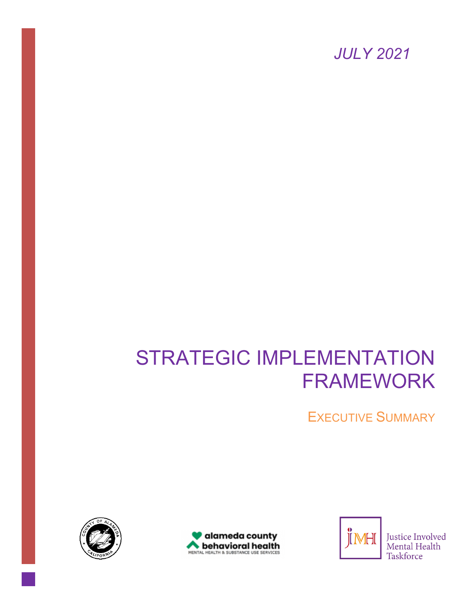*JULY 2021*

# STRATEGIC IMPLEMENTATION FRAMEWORK

EXECUTIVE SUMMARY







Justice Involved Mental Health Taskforce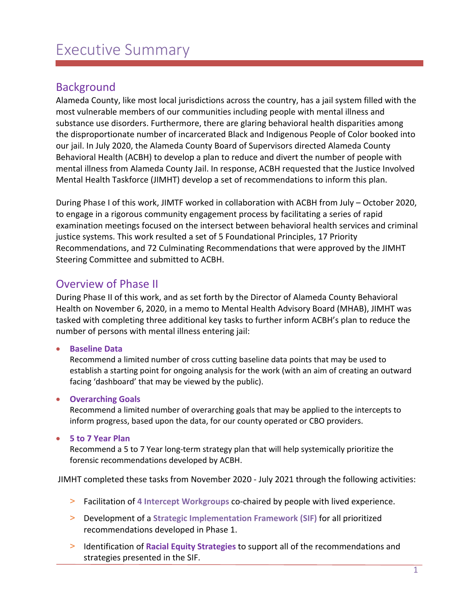## Executive Summary

#### Background

Alameda County, like most local jurisdictions across the country, has a jail system filled with the most vulnerable members of our communities including people with mental illness and substance use disorders. Furthermore, there are glaring behavioral health disparities among the disproportionate number of incarcerated Black and Indigenous People of Color booked into our jail. In July 2020, the Alameda County Board of Supervisors directed Alameda County Behavioral Health (ACBH) to develop a plan to reduce and divert the number of people with mental illness from Alameda County Jail. In response, ACBH requested that the Justice Involved Mental Health Taskforce (JIMHT) develop a set of recommendations to inform this plan.

During Phase I of this work, JIMTF worked in collaboration with ACBH from July – October 2020, to engage in a rigorous community engagement process by facilitating a series of rapid examination meetings focused on the intersect between behavioral health services and criminal justice systems. This work resulted a set of 5 Foundational Principles, 17 Priority Recommendations, and 72 Culminating Recommendations that were approved by the JIMHT Steering Committee and submitted to ACBH.

#### Overview of Phase II

During Phase II of this work, and as set forth by the Director of Alameda County Behavioral Health on November 6, 2020, in a memo to Mental Health Advisory Board (MHAB), JIMHT was tasked with completing three additional key tasks to further inform ACBH's plan to reduce the number of persons with mental illness entering jail:

• **Baseline Data**

Recommend a limited number of cross cutting baseline data points that may be used to establish a starting point for ongoing analysis for the work (with an aim of creating an outward facing 'dashboard' that may be viewed by the public).

#### • **Overarching Goals**

Recommend a limited number of overarching goals that may be applied to the intercepts to inform progress, based upon the data, for our county operated or CBO providers.

#### • **5 to 7 Year Plan**

Recommend a 5 to 7 Year long-term strategy plan that will help systemically prioritize the forensic recommendations developed by ACBH.

JIMHT completed these tasks from November 2020 - July 2021 through the following activities:

- > Facilitation of **4 Intercept Workgroups** co-chaired by people with lived experience.
- > Development of a **Strategic Implementation Framework (SIF)** for all prioritized recommendations developed in Phase 1.
- > Identification of **Racial Equity Strategies** to support all of the recommendations and strategies presented in the SIF.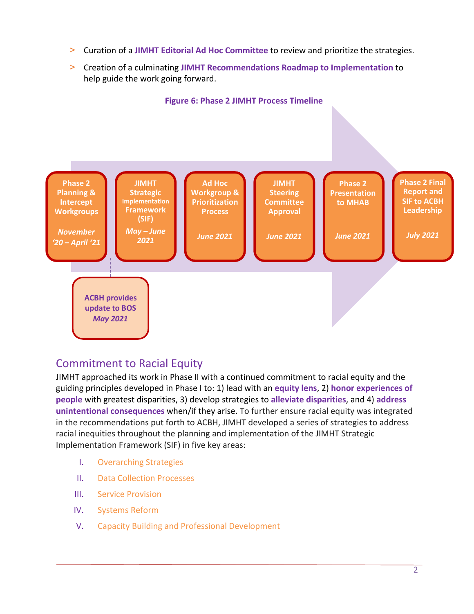- > Curation of a **JIMHT Editorial Ad Hoc Committee** to review and prioritize the strategies.
- > Creation of a culminating **JIMHT Recommendations Roadmap to Implementation** to help guide the work going forward.



## Commitment to Racial Equity

JIMHT approached its work in Phase II with a continued commitment to racial equity and the guiding principles developed in Phase I to: 1) lead with an **equity lens**, 2) **honor experiences of people** with greatest disparities, 3) develop strategies to **alleviate disparities**, and 4) **address unintentional consequences** when/if they arise. To further ensure racial equity was integrated in the recommendations put forth to ACBH, JIMHT developed a series of strategies to address racial inequities throughout the planning and implementation of the JIMHT Strategic Implementation Framework (SIF) in five key areas:

- I. Overarching Strategies
- II. Data Collection Processes
- III. Service Provision
- IV. Systems Reform
- V. Capacity Building and Professional Development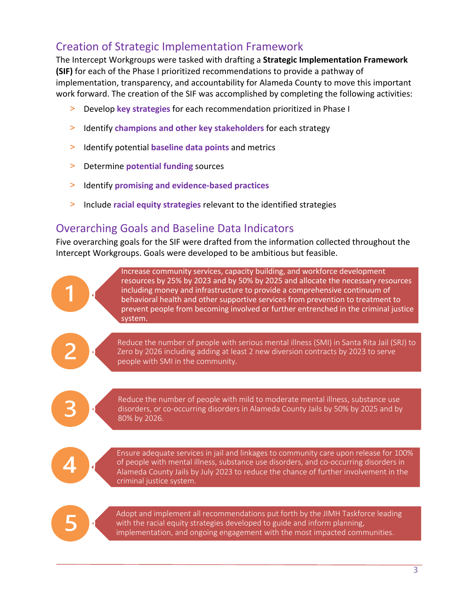## Creation of Strategic Implementation Framework

The Intercept Workgroups were tasked with drafting a **Strategic Implementation Framework (SIF)** for each of the Phase I prioritized recommendations to provide a pathway of implementation, transparency, and accountability for Alameda County to move this important work forward. The creation of the SIF was accomplished by completing the following activities:

- > Develop **key strategies** for each recommendation prioritized in Phase I
- > Identify **champions and other key stakeholders** for each strategy
- > Identify potential **baseline data points** and metrics
- > Determine **potential funding** sources
- > Identify **promising and evidence-based practices**
- > Include **racial equity strategies** relevant to the identified strategies

#### Overarching Goals and Baseline Data Indicators

Five overarching goals for the SIF were drafted from the information collected throughout the Intercept Workgroups. Goals were developed to be ambitious but feasible.



Increase community services, capacity building, and workforce development resources by 25% by 2023 and by 50% by 2025 and allocate the necessary resources including money and infrastructure to provide a comprehensive continuum of behavioral health and other supportive services from prevention to treatment to prevent people from becoming involved or further entrenched in the criminal justice system.

Reduce the number of people with serious mental illness (SMI) in Santa Rita Jail (SRJ) to Zero by 2026 including adding at least 2 new diversion contracts by 2023 to serve people with SMI in the community.

Reduce the number of people with mild to moderate mental illness, substance use disorders, or co-occurring disorders in Alameda County Jails by 50% by 2025 and by 80% by 2026.



Ensure adequate services in jail and linkages to community care upon release for 100% of people with mental illness, substance use disorders, and co-occurring disorders in Alameda County Jails by July 2023 to reduce the chance of further involvement in the criminal justice system.

Adopt and implement all recommendations put forth by the JIMH Taskforce leading with the racial equity strategies developed to guide and inform planning, implementation, and ongoing engagement with the most impacted communities.